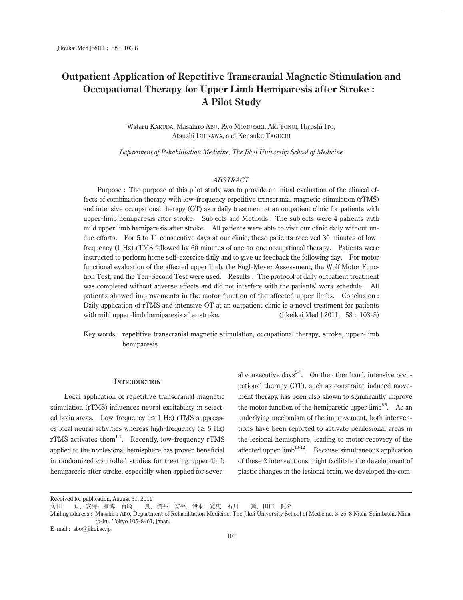# **Outpatient Application of Repetitive Transcranial Magnetic Stimulation and Occupational Therapy for Upper Limb Hemiparesis after Stroke : A Pilot Study**

Wataru Kakuda, Masahiro Abo, Ryo Momosaki, Aki Yokoi, Hiroshi Ito, Atsushi Ishikawa, and Kensuke Taguchi

*Department of Rehabilitation Medicine, The Jikei University School of Medicine* 

## *ABSTRACT*

Purpose : The purpose of this pilot study was to provide an initial evaluation of the clinical effects of combination therapy with low-frequency repetitive transcranial magnetic stimulation (rTMS) and intensive occupational therapy (OT) as a daily treatment at an outpatient clinic for patients with upper-limb hemiparesis after stroke. Subjects and Methods : The subjects were 4 patients with mild upper limb hemiparesis after stroke. All patients were able to visit our clinic daily without undue efforts. For 5 to 11 consecutive days at our clinic, these patients received 30 minutes of lowfrequency (1 Hz) rTMS followed by 60 minutes of one-to-one occupational therapy. Patients were instructed to perform home self-exercise daily and to give us feedback the following day. For motor functional evaluation of the affected upper limb, the Fugl-Meyer Assessment, the Wolf Motor Function Test, and the Ten-Second Test were used. Results : The protocol of daily outpatient treatment was completed without adverse effects and did not interfere with the patients' work schedule. All patients showed improvements in the motor function of the affected upper limbs. Conclusion : Daily application of rTMS and intensive OT at an outpatient clinic is a novel treatment for patients with mild upper-limb hemiparesis after stroke. limb hemiparesis after stroke. (Jikeikai Med J 2011 ; 58 : 103- 8)

Key words : repetitive transcranial magnetic stimulation, occupational therapy, stroke, upper-limb hemiparesis

#### **Introduction**

Local application of repetitive transcranial magnetic stimulation (rTMS) influences neural excitability in selected brain areas. Low-frequency  $(\leq 1 \text{ Hz})$  rTMS suppresses local neural activities whereas high-frequency ( $\geq 5$  Hz) rTMS activates them<sup>1-4</sup>. Recently, low-frequency rTMS applied to the nonlesional hemisphere has proven beneficial in randomized controlled studies for treating upper-limb hemiparesis after stroke, especially when applied for sever-

al consecutive days<sup>5-7</sup>. On the other hand, intensive occupational therapy (OT), such as constraint-induced movement therapy, has been also shown to significantly improve the motor function of the hemiparetic upper limb<sup>8,9</sup>. As an underlying mechanism of the improvement, both interventions have been reported to activate perilesional areas in the lesional hemisphere, leading to motor recovery of the affected upper  $limb^{10-12}$ . Because simultaneous application of these 2 interventions might facilitate the development of plastic changes in the lesional brain, we developed the com-

Received for publication, August 31, 2011

角田 亘, 安保 雅博, 百崎 良, 横井 安芸, 伊東 寛史, 石川 篤, 田口 健介

Mailing address : Masahiro Abo, Department of Rehabilitation Medicine, The Jikei University School of Medicine, 3- 25- 8 Nishi-Shimbashi, Minato-ku, Tokyo 105- 8461, Japan.

E-mail : abo@jikei.ac.jp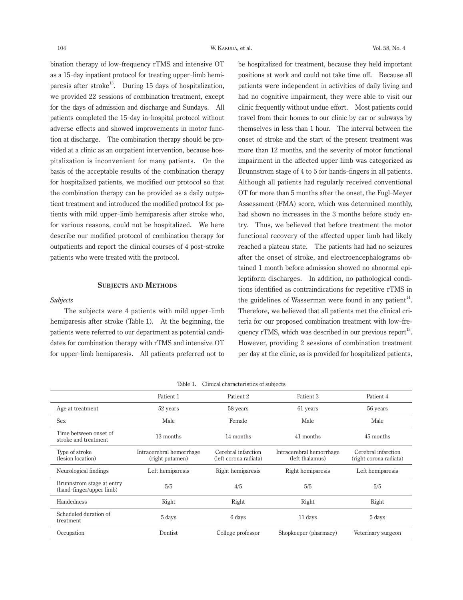bination therapy of low-frequency rTMS and intensive OT as a 15- day inpatient protocol for treating upper-limb hemiparesis after stroke<sup>13</sup>. During 15 days of hospitalization, we provided 22 sessions of combination treatment, except for the days of admission and discharge and Sundays. All patients completed the 15- day in-hospital protocol without adverse effects and showed improvements in motor function at discharge. The combination therapy should be provided at a clinic as an outpatient intervention, because hospitalization is inconvenient for many patients. On the basis of the acceptable results of the combination therapy for hospitalized patients, we modified our protocol so that the combination therapy can be provided as a daily outpatient treatment and introduced the modified protocol for patients with mild upper-limb hemiparesis after stroke who, for various reasons, could not be hospitalized. We here describe our modified protocol of combination therapy for outpatients and report the clinical courses of 4 post-stroke patients who were treated with the protocol.

#### **Subjects and Methods**

# *Subjects*

The subjects were 4 patients with mild upper-limb hemiparesis after stroke (Table 1). At the beginning, the patients were referred to our department as potential candidates for combination therapy with rTMS and intensive OT for upper-limb hemiparesis. All patients preferred not to be hospitalized for treatment, because they held important positions at work and could not take time off. Because all patients were independent in activities of daily living and had no cognitive impairment, they were able to visit our clinic frequently without undue effort. Most patients could travel from their homes to our clinic by car or subways by themselves in less than 1 hour. The interval between the onset of stroke and the start of the present treatment was more than 12 months, and the severity of motor functional impairment in the affected upper limb was categorized as Brunnstrom stage of 4 to 5 for hands-fingers in all patients. Although all patients had regularly received conventional OT for more than 5 months after the onset, the Fugl-Meyer Assessment (FMA) score, which was determined monthly, had shown no increases in the 3 months before study entry. Thus, we believed that before treatment the motor functional recovery of the affected upper limb had likely reached a plateau state. The patients had had no seizures after the onset of stroke, and electroencephalograms obtained 1 month before admission showed no abnormal epileptiform discharges. In addition, no pathological conditions identified as contraindications for repetitive rTMS in the guidelines of Wasserman were found in any patient<sup>14</sup>. Therefore, we believed that all patients met the clinical criteria for our proposed combination treatment with low-frequency rTMS, which was described in our previous report<sup>13</sup>. However, providing 2 sessions of combination treatment per day at the clinic, as is provided for hospitalized patients,

| Clinical characteristics of subjects<br>Table 1.      |                                             |                                              |                       |                                               |  |  |  |  |  |  |
|-------------------------------------------------------|---------------------------------------------|----------------------------------------------|-----------------------|-----------------------------------------------|--|--|--|--|--|--|
|                                                       | Patient 1                                   | Patient <sub>2</sub>                         | Patient 3             | Patient 4                                     |  |  |  |  |  |  |
| Age at treatment                                      | 52 years                                    | 58 years                                     | 61 years              | 56 years                                      |  |  |  |  |  |  |
| <b>Sex</b>                                            | Male                                        | Female                                       | Male                  | Male                                          |  |  |  |  |  |  |
| Time between onset of<br>stroke and treatment         | 13 months                                   | 14 months<br>41 months                       |                       | 45 months                                     |  |  |  |  |  |  |
| Type of stroke<br>(lesion location)                   | Intracerebral hemorrhage<br>(right putamen) | Cerebral infarction<br>(left corona radiata) |                       | Cerebral infarction<br>(right corona radiata) |  |  |  |  |  |  |
| Neurological findings                                 | Left hemiparesis                            | Right hemiparesis                            | Right hemiparesis     | Left hemiparesis                              |  |  |  |  |  |  |
| Brunnstrom stage at entry<br>(hand-finger/upper limb) | 5/5                                         | 4/5                                          |                       | 5/5                                           |  |  |  |  |  |  |
| Handedness                                            | Right                                       | Right                                        | Right                 | Right                                         |  |  |  |  |  |  |
| Scheduled duration of<br>treatment                    | 5 days                                      | 6 days                                       | 11 days               | 5 days                                        |  |  |  |  |  |  |
| Occupation                                            | Dentist                                     | College professor                            | Shopkeeper (pharmacy) | Veterinary surgeon                            |  |  |  |  |  |  |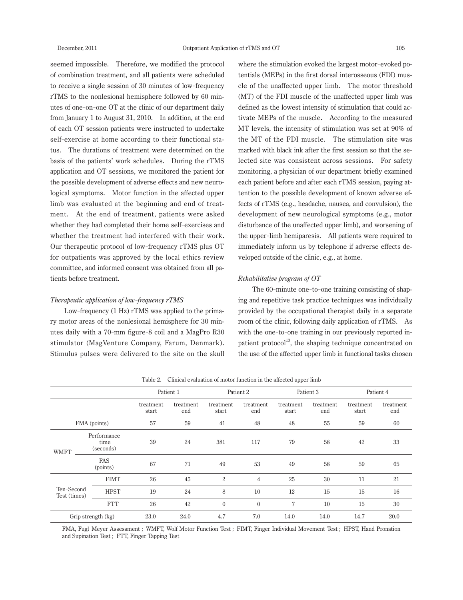seemed impossible. Therefore, we modified the protocol of combination treatment, and all patients were scheduled to receive a single session of 30 minutes of low-frequency rTMS to the nonlesional hemisphere followed by 60 minutes of one-on-one OT at the clinic of our department daily from January 1 to August 31, 2010. In addition, at the end of each OT session patients were instructed to undertake self-exercise at home according to their functional status. The durations of treatment were determined on the basis of the patients' work schedules. During the rTMS application and OT sessions, we monitored the patient for the possible development of adverse effects and new neurological symptoms. Motor function in the affected upper limb was evaluated at the beginning and end of treatment. At the end of treatment, patients were asked whether they had completed their home self-exercises and whether the treatment had interfered with their work. Our therapeutic protocol of low-frequency rTMS plus OT for outpatients was approved by the local ethics review committee, and informed consent was obtained from all patients before treatment.

# *Therapeutic application of low*-*frequency rTMS*

Low-frequency (1 Hz) rTMS was applied to the primary motor areas of the nonlesional hemisphere for 30 minutes daily with a 70- mm figure-8 coil and a MagPro R30 stimulator (MagVenture Company, Farum, Denmark). Stimulus pulses were delivered to the site on the skull

where the stimulation evoked the largest motor-evoked potentials (MEPs) in the first dorsal interosseous (FDI) muscle of the unaffected upper limb. The motor threshold (MT) of the FDI muscle of the unaffected upper limb was defined as the lowest intensity of stimulation that could activate MEPs of the muscle. According to the measured MT levels, the intensity of stimulation was set at 90% of the MT of the FDI muscle. The stimulation site was marked with black ink after the first session so that the selected site was consistent across sessions. For safety monitoring, a physician of our department briefly examined each patient before and after each rTMS session, paying attention to the possible development of known adverse effects of rTMS (e.g., headache, nausea, and convulsion), the development of new neurological symptoms (e.g., motor disturbance of the unaffected upper limb), and worsening of the upper-limb hemiparesis. All patients were required to immediately inform us by telephone if adverse effects developed outside of the clinic, e.g., at home.

# *Rehabilitative program of OT*

The 60- minute one-to-one training consisting of shaping and repetitive task practice techniques was individually provided by the occupational therapist daily in a separate room of the clinic, following daily application of rTMS. As with the one-to-one training in our previously reported inpatient protocol<sup>13</sup>, the shaping technique concentrated on the use of the affected upper limb in functional tasks chosen

|                            |                                  | Patient 1          |                  | Patient 2          |                  | Patient 3          |                  | Patient 4          |                  |
|----------------------------|----------------------------------|--------------------|------------------|--------------------|------------------|--------------------|------------------|--------------------|------------------|
|                            |                                  | treatment<br>start | treatment<br>end | treatment<br>start | treatment<br>end | treatment<br>start | treatment<br>end | treatment<br>start | treatment<br>end |
| FMA (points)               |                                  | 57                 | 59               | 41                 | 48               | 48                 | 55               | 59                 | 60               |
| <b>WMFT</b>                | Performance<br>time<br>(seconds) | 39                 | 24               | 381                | 117              | 79                 | 58               | 42                 | 33               |
|                            | FAS<br>(points)                  | 67                 | 71               | 49                 | 53               | 49                 | 58               | 59                 | 65               |
| Ten-Second<br>Test (times) | <b>FIMT</b>                      | 26                 | 45               | $\overline{2}$     | $\overline{4}$   | 25                 | 30               | 11                 | 21               |
|                            | <b>HPST</b>                      | 19                 | 24               | 8                  | 10               | 12                 | 15               | 15                 | 16               |
|                            | <b>FTT</b>                       | 26                 | 42               | $\theta$           | $\theta$         | 7                  | 10               | 15                 | 30               |
| Grip strength (kg)         |                                  | 23.0               | 24.0             | 4.7                | 7.0              | 14.0               | 14.0             | 14.7               | 20.0             |

Table 2. Clinical evaluation of motor function in the affected upper limb

FMA, Fugl-Meyer Assessment ; WMFT, Wolf Motor Function Test ; FIMT, Finger Individual Movement Test ; HPST, Hand Pronation and Supination Test ; FTT, Finger Tapping Test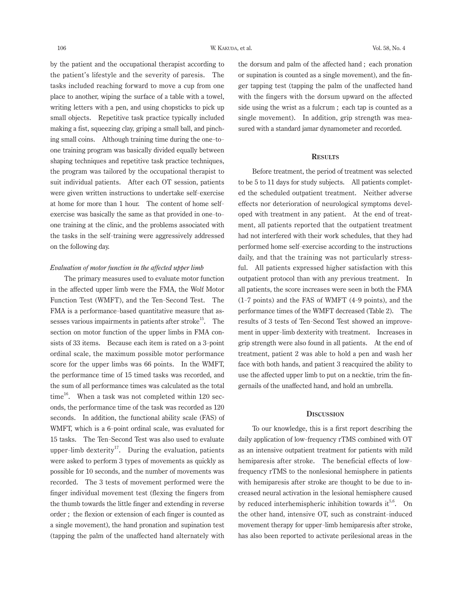by the patient and the occupational therapist according to the patient's lifestyle and the severity of paresis. The tasks included reaching forward to move a cup from one place to another, wiping the surface of a table with a towel, writing letters with a pen, and using chopsticks to pick up small objects. Repetitive task practice typically included making a fist, squeezing clay, griping a small ball, and pinching small coins. Although training time during the one-toone training program was basically divided equally between shaping techniques and repetitive task practice techniques, the program was tailored by the occupational therapist to suit individual patients. After each OT session, patients were given written instructions to undertake self-exercise at home for more than 1 hour. The content of home selfexercise was basically the same as that provided in one-toone training at the clinic, and the problems associated with the tasks in the self-training were aggressively addressed on the following day.

## *Evaluation of motor function in the affected upper limb*

The primary measures used to evaluate motor function in the affected upper limb were the FMA, the Wolf Motor Function Test (WMFT), and the Ten-Second Test. The FMA is a performance-based quantitative measure that assesses various impairments in patients after stroke<sup>15</sup>. The section on motor function of the upper limbs in FMA consists of 33 items. Because each item is rated on a 3-point ordinal scale, the maximum possible motor performance score for the upper limbs was 66 points. In the WMFT, the performance time of 15 timed tasks was recorded, and the sum of all performance times was calculated as the total time<sup>16</sup>. When a task was not completed within 120 seconds, the performance time of the task was recorded as 120 seconds. In addition, the functional ability scale (FAS) of WMFT, which is a 6- point ordinal scale, was evaluated for 15 tasks. The Ten-Second Test was also used to evaluate upper-limb dexterity<sup>17</sup>. During the evaluation, patients were asked to perform 3 types of movements as quickly as possible for 10 seconds, and the number of movements was recorded. The 3 tests of movement performed were the finger individual movement test (flexing the fingers from the thumb towards the little finger and extending in reverse order ; the flexion or extension of each finger is counted as a single movement), the hand pronation and supination test (tapping the palm of the unaffected hand alternately with

the dorsum and palm of the affected hand ; each pronation or supination is counted as a single movement), and the finger tapping test (tapping the palm of the unaffected hand with the fingers with the dorsum upward on the affected side using the wrist as a fulcrum ; each tap is counted as a single movement). In addition, grip strength was measured with a standard jamar dynamometer and recorded.

# **Results**

Before treatment, the period of treatment was selected to be 5 to 11 days for study subjects. All patients completed the scheduled outpatient treatment. Neither adverse effects nor deterioration of neurological symptoms developed with treatment in any patient. At the end of treatment, all patients reported that the outpatient treatment had not interfered with their work schedules, that they had performed home self-exercise according to the instructions daily, and that the training was not particularly stressful. All patients expressed higher satisfaction with this outpatient protocol than with any previous treatment. In all patients, the score increases were seen in both the FMA (1- 7 points) and the FAS of WMFT (4- 9 points), and the performance times of the WMFT decreased (Table 2). The results of 3 tests of Ten-Second Test showed an improvement in upper-limb dexterity with treatment. Increases in grip strength were also found in all patients. At the end of treatment, patient 2 was able to hold a pen and wash her face with both hands, and patient 3 reacquired the ability to use the affected upper limb to put on a necktie, trim the fingernails of the unaffected hand, and hold an umbrella.

## **Discussion**

To our knowledge, this is a first report describing the daily application of low-frequency rTMS combined with OT as an intensive outpatient treatment for patients with mild hemiparesis after stroke. The beneficial effects of lowfrequency rTMS to the nonlesional hemisphere in patients with hemiparesis after stroke are thought to be due to increased neural activation in the lesional hemisphere caused by reduced interhemispheric inhibition towards it<sup>5,6</sup>. On the other hand, intensive OT, such as constraint-induced movement therapy for upper-limb hemiparesis after stroke, has also been reported to activate perilesional areas in the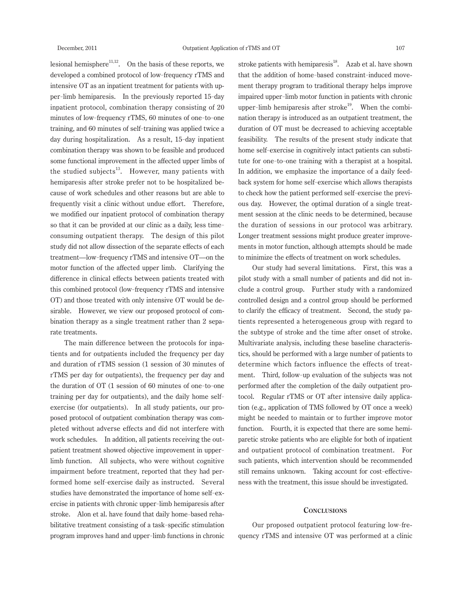lesional hemisphere $11,12$ . On the basis of these reports, we developed a combined protocol of low-frequency rTMS and intensive OT as an inpatient treatment for patients with upper-limb hemiparesis. In the previously reported 15- day inpatient protocol, combination therapy consisting of 20 minutes of low-frequency rTMS, 60 minutes of one-to-one training, and 60 minutes of self-training was applied twice a day during hospitalization. As a result, 15- day inpatient combination therapy was shown to be feasible and produced some functional improvement in the affected upper limbs of the studied subjects $^{13}$ . However, many patients with hemiparesis after stroke prefer not to be hospitalized because of work schedules and other reasons but are able to frequently visit a clinic without undue effort. Therefore, we modified our inpatient protocol of combination therapy so that it can be provided at our clinic as a daily, less timeconsuming outpatient therapy. The design of this pilot study did not allow dissection of the separate effects of each treatment—low-frequency rTMS and intensive OT—on the motor function of the affected upper limb. Clarifying the difference in clinical effects between patients treated with this combined protocol (low-frequency rTMS and intensive OT) and those treated with only intensive OT would be desirable. However, we view our proposed protocol of combination therapy as a single treatment rather than 2 separate treatments.

The main difference between the protocols for inpatients and for outpatients included the frequency per day and duration of rTMS session (1 session of 30 minutes of rTMS per day for outpatients), the frequency per day and the duration of OT (1 session of 60 minutes of one-to-one training per day for outpatients), and the daily home selfexercise (for outpatients). In all study patients, our proposed protocol of outpatient combination therapy was completed without adverse effects and did not interfere with work schedules. In addition, all patients receiving the outpatient treatment showed objective improvement in upperlimb function. All subjects, who were without cognitive impairment before treatment, reported that they had performed home self-exercise daily as instructed. Several studies have demonstrated the importance of home self-exercise in patients with chronic upper-limb hemiparesis after stroke. Alon et al. have found that daily home-based rehabilitative treatment consisting of a task-specific stimulation program improves hand and upper-limb functions in chronic

stroke patients with hemiparesis $^{18}$ . Azab et al. have shown that the addition of home-based constraint-induced movement therapy program to traditional therapy helps improve impaired upper-limb motor function in patients with chronic upper-limb hemiparesis after stroke<sup>19</sup>. When the combination therapy is introduced as an outpatient treatment, the duration of OT must be decreased to achieving acceptable feasibility. The results of the present study indicate that home self-exercise in cognitively intact patients can substitute for one-to-one training with a therapist at a hospital. In addition, we emphasize the importance of a daily feedback system for home self-exercise which allows therapists to check how the patient performed self-exercise the previous day. However, the optimal duration of a single treatment session at the clinic needs to be determined, because the duration of sessions in our protocol was arbitrary. Longer treatment sessions might produce greater improvements in motor function, although attempts should be made to minimize the effects of treatment on work schedules.

Our study had several limitations. First, this was a pilot study with a small number of patients and did not include a control group. Further study with a randomized controlled design and a control group should be performed to clarify the efficacy of treatment. Second, the study patients represented a heterogeneous group with regard to the subtype of stroke and the time after onset of stroke. Multivariate analysis, including these baseline characteristics, should be performed with a large number of patients to determine which factors influence the effects of treatment. Third, follow-up evaluation of the subjects was not performed after the completion of the daily outpatient protocol. Regular rTMS or OT after intensive daily application (e.g., application of TMS followed by OT once a week) might be needed to maintain or to further improve motor function. Fourth, it is expected that there are some hemiparetic stroke patients who are eligible for both of inpatient and outpatient protocol of combination treatment. For such patients, which intervention should be recommended still remains unknown. Taking account for cost-effectiveness with the treatment, this issue should be investigated.

# **Conclusions**

Our proposed outpatient protocol featuring low-frequency rTMS and intensive OT was performed at a clinic